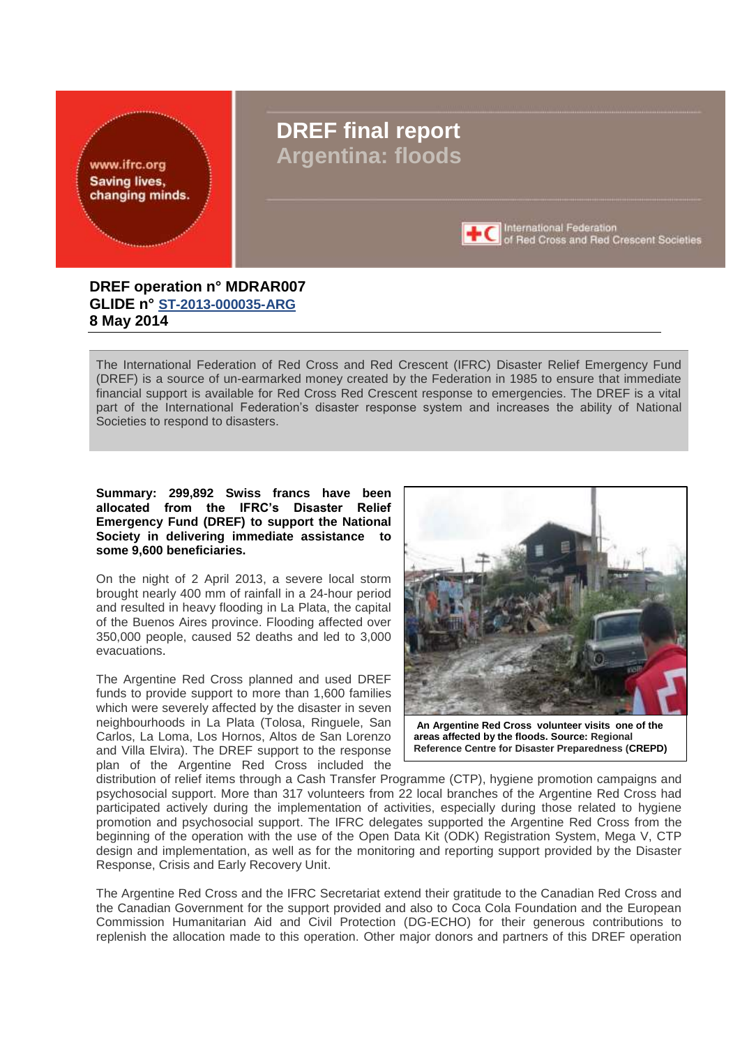<span id="page-0-0"></span>

# **DREF final report Argentina: floods**



**+C** International Federation of Red Cross and Red Crescent Societies

## **DREF operation n° MDRAR007 GLIDE n° [ST-2013-000035-ARG](http://www.glidenumber.net/glide/public/search/details.jsp?glide=19979) 8 May 2014**

The International Federation of Red Cross and Red Crescent (IFRC) Disaster Relief Emergency Fund (DREF) is a source of un-earmarked money created by the Federation in 1985 to ensure that immediate financial support is available for Red Cross Red Crescent response to emergencies. The DREF is a vital part of the International Federation's disaster response system and increases the ability of National Societies to respond to disasters.

**Summary: 299,892 Swiss francs have been allocated from the IFRC's Disaster Relief Emergency Fund (DREF) to support the National Society in delivering immediate assistance to some 9,600 beneficiaries.**

On the night of 2 April 2013, a severe local storm brought nearly 400 mm of rainfall in a 24-hour period and resulted in heavy flooding in La Plata, the capital of the Buenos Aires province. Flooding affected over 350,000 people, caused 52 deaths and led to 3,000 evacuations.

The Argentine Red Cross planned and used DREF funds to provide support to more than 1,600 families which were severely affected by the disaster in seven neighbourhoods in La Plata (Tolosa, Ringuele, San Carlos, La Loma, Los Hornos, Altos de San Lorenzo and Villa Elvira). The DREF support to the response plan of the Argentine Red Cross included the



**An Argentine Red Cross volunteer visits one of the areas affected by the floods. Source: Regional Reference Centre for Disaster Preparedness (CREPD)**

distribution of relief items through a Cash Transfer Programme (CTP), hygiene promotion campaigns and psychosocial support. More than 317 volunteers from 22 local branches of the Argentine Red Cross had participated actively during the implementation of activities, especially during those related to hygiene promotion and psychosocial support. The IFRC delegates supported the Argentine Red Cross from the beginning of the operation with the use of the Open Data Kit (ODK) Registration System, Mega V, CTP design and implementation, as well as for the monitoring and reporting support provided by the Disaster Response, Crisis and Early Recovery Unit.

The Argentine Red Cross and the IFRC Secretariat extend their gratitude to the Canadian Red Cross and the Canadian Government for the support provided and also to Coca Cola Foundation and the European Commission Humanitarian Aid and Civil Protection (DG-ECHO) for their generous contributions to replenish the allocation made to this operation. Other major donors and partners of this DREF operation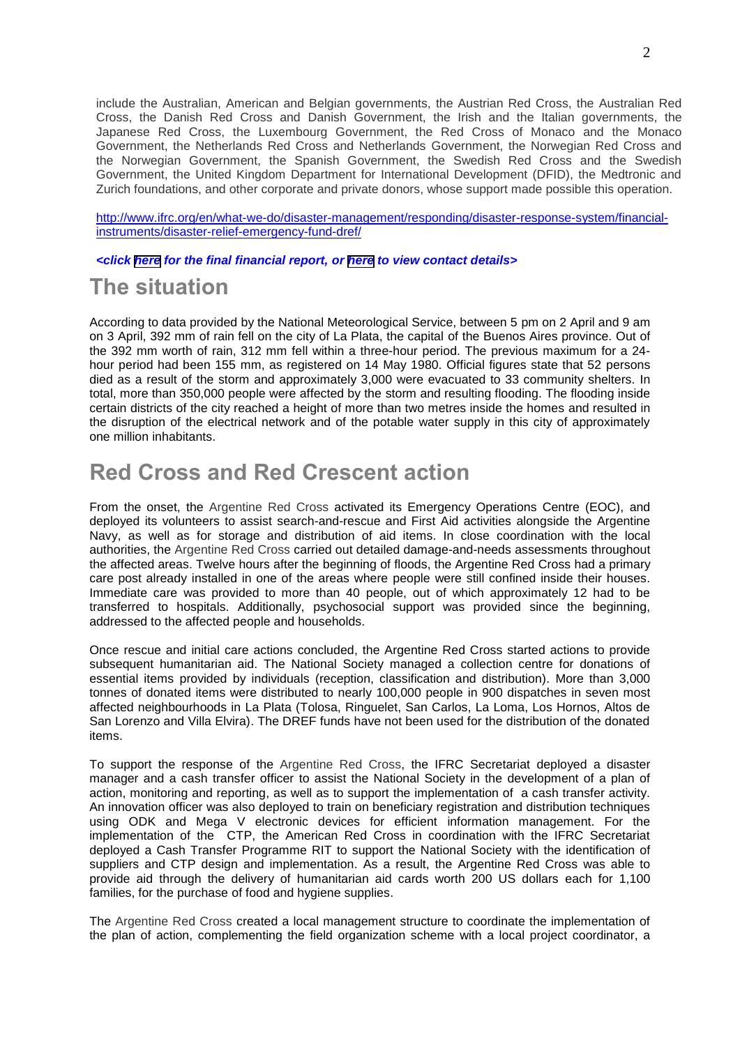include the Australian, American and Belgian governments, the Austrian Red Cross, the Australian Red Cross, the Danish Red Cross and Danish Government, the Irish and the Italian governments, the Japanese Red Cross, the Luxembourg Government, the Red Cross of Monaco and the Monaco Government, the Netherlands Red Cross and Netherlands Government, the Norwegian Red Cross and the Norwegian Government, the Spanish Government, the Swedish Red Cross and the Swedish Government, the United Kingdom Department for International Development (DFID), the Medtronic and Zurich foundations, and other corporate and private donors, whose support made possible this operation.

[http://www.ifrc.org/en/what-we-do/disaster-management/responding/disaster-response-system/financial](http://www.ifrc.org/en/what-we-do/disaster-management/responding/disaster-response-system/financial-instruments/disaster-relief-emergency-fund-dref/)[instruments/disaster-relief-emergency-fund-dref/](http://www.ifrc.org/en/what-we-do/disaster-management/responding/disaster-response-system/financial-instruments/disaster-relief-emergency-fund-dref/)

*<click [here](#page-8-0) for the final financial report, or [here](#page-6-0) to view contact details>*

# **The situation**

According to data provided by the National Meteorological Service, between 5 pm on 2 April and 9 am on 3 April, 392 mm of rain fell on the city of La Plata, the capital of the Buenos Aires province. Out of the 392 mm worth of rain, 312 mm fell within a three-hour period. The previous maximum for a 24 hour period had been 155 mm, as registered on 14 May 1980. Official figures state that 52 persons died as a result of the storm and approximately 3,000 were evacuated to 33 community shelters. In total, more than 350,000 people were affected by the storm and resulting flooding. The flooding inside certain districts of the city reached a height of more than two metres inside the homes and resulted in the disruption of the electrical network and of the potable water supply in this city of approximately one million inhabitants.

# **Red Cross and Red Crescent action**

From the onset, the Argentine Red Cross activated its Emergency Operations Centre (EOC), and deployed its volunteers to assist search-and-rescue and First Aid activities alongside the Argentine Navy, as well as for storage and distribution of aid items. In close coordination with the local authorities, the Argentine Red Cross carried out detailed damage-and-needs assessments throughout the affected areas. Twelve hours after the beginning of floods, the Argentine Red Cross had a primary care post already installed in one of the areas where people were still confined inside their houses. Immediate care was provided to more than 40 people, out of which approximately 12 had to be transferred to hospitals. Additionally, psychosocial support was provided since the beginning, addressed to the affected people and households.

Once rescue and initial care actions concluded, the Argentine Red Cross started actions to provide subsequent humanitarian aid. The National Society managed a collection centre for donations of essential items provided by individuals (reception, classification and distribution). More than 3,000 tonnes of donated items were distributed to nearly 100,000 people in 900 dispatches in seven most affected neighbourhoods in La Plata (Tolosa, Ringuelet, San Carlos, La Loma, Los Hornos, Altos de San Lorenzo and Villa Elvira). The DREF funds have not been used for the distribution of the donated items.

To support the response of the Argentine Red Cross, the IFRC Secretariat deployed a disaster manager and a cash transfer officer to assist the National Society in the development of a plan of action, monitoring and reporting, as well as to support the implementation of a cash transfer activity. An innovation officer was also deployed to train on beneficiary registration and distribution techniques using ODK and Mega V electronic devices for efficient information management. For the implementation of the CTP, the American Red Cross in coordination with the IFRC Secretariat deployed a Cash Transfer Programme RIT to support the National Society with the identification of suppliers and CTP design and implementation. As a result, the Argentine Red Cross was able to provide aid through the delivery of humanitarian aid cards worth 200 US dollars each for 1,100 families, for the purchase of food and hygiene supplies.

The Argentine Red Cross created a local management structure to coordinate the implementation of the plan of action, complementing the field organization scheme with a local project coordinator, a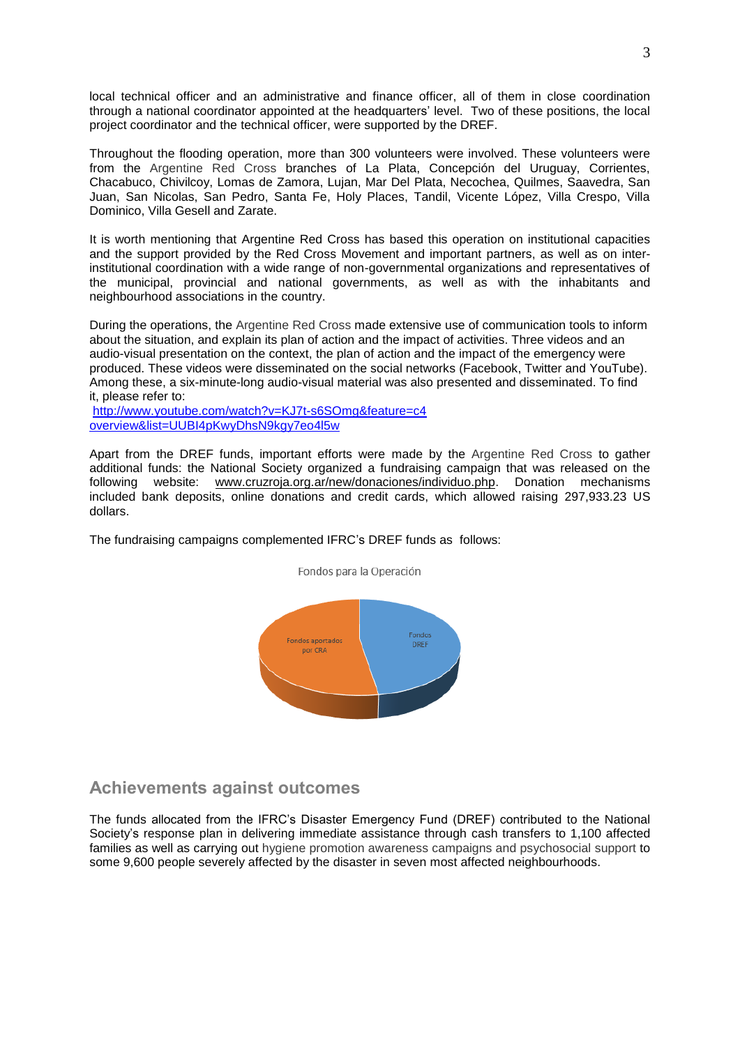local technical officer and an administrative and finance officer, all of them in close coordination through a national coordinator appointed at the headquarters' level. Two of these positions, the local project coordinator and the technical officer, were supported by the DREF.

Throughout the flooding operation, more than 300 volunteers were involved. These volunteers were from the Argentine Red Cross branches of La Plata, Concepción del Uruguay, Corrientes, Chacabuco, Chivilcoy, Lomas de Zamora, Lujan, Mar Del Plata, Necochea, Quilmes, Saavedra, San Juan, San Nicolas, San Pedro, Santa Fe, Holy Places, Tandil, Vicente López, Villa Crespo, Villa Dominico, Villa Gesell and Zarate.

It is worth mentioning that Argentine Red Cross has based this operation on institutional capacities and the support provided by the Red Cross Movement and important partners, as well as on interinstitutional coordination with a wide range of non-governmental organizations and representatives of the municipal, provincial and national governments, as well as with the inhabitants and neighbourhood associations in the country.

During the operations, the Argentine Red Cross made extensive use of communication tools to inform about the situation, and explain its plan of action and the impact of activities. Three videos and an audio-visual presentation on the context, the plan of action and the impact of the emergency were produced. These videos were disseminated on the social networks (Facebook, Twitter and YouTube). Among these, a six-minute-long audio-visual material was also presented and disseminated. To find it, please refer to:

[http://www.youtube.com/watch?v=KJ7t-s6SOmg&feature=c4](http://www.youtube.com/watch?v=KJ7t-s6SOmg&feature=c4%20overview&list=UUBI4pKwyDhsN9kgy7eo4l5w)  [overview&list=UUBI4pKwyDhsN9kgy7eo4l5w](http://www.youtube.com/watch?v=KJ7t-s6SOmg&feature=c4%20overview&list=UUBI4pKwyDhsN9kgy7eo4l5w)

Apart from the DREF funds, important efforts were made by the Argentine Red Cross to gather additional funds: the National Society organized a fundraising campaign that was released on the following website: [www.cruzroja.org.ar/new/donaciones/individuo.php.](http://www.cruzroja.org.ar/new/donaciones/individuo.php) Donation mechanisms included bank deposits, online donations and credit cards, which allowed raising 297,933.23 US dollars.

The fundraising campaigns complemented IFRC's DREF funds as follows:



# Fondos para la Operación

## **Achievements against outcomes**

The funds allocated from the IFRC's Disaster Emergency Fund (DREF) contributed to the National Society's response plan in delivering immediate assistance through cash transfers to 1,100 affected families as well as carrying out hygiene promotion awareness campaigns and psychosocial support to some 9,600 people severely affected by the disaster in seven most affected neighbourhoods.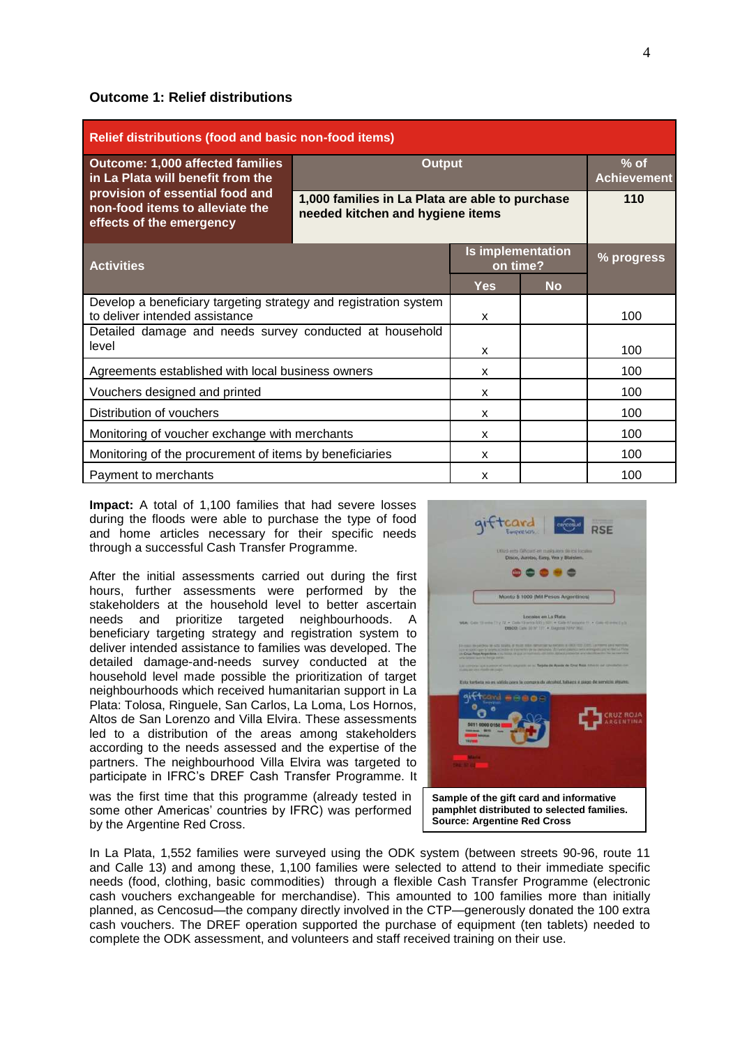#### **Outcome 1: Relief distributions**

| Relief distributions (food and basic non-food items)                                               |                                                                                     |            |                              |     |  |  |  |  |
|----------------------------------------------------------------------------------------------------|-------------------------------------------------------------------------------------|------------|------------------------------|-----|--|--|--|--|
| <b>Outcome: 1,000 affected families</b><br>in La Plata will benefit from the                       | <b>Output</b>                                                                       |            | $%$ of<br><b>Achievement</b> |     |  |  |  |  |
| provision of essential food and<br>non-food items to alleviate the<br>effects of the emergency     | 1,000 families in La Plata are able to purchase<br>needed kitchen and hygiene items |            | 110                          |     |  |  |  |  |
| <b>Activities</b>                                                                                  | <b>Is implementation</b><br>on time?                                                | % progress |                              |     |  |  |  |  |
|                                                                                                    |                                                                                     | <b>Yes</b> | <b>No</b>                    |     |  |  |  |  |
| Develop a beneficiary targeting strategy and registration system<br>to deliver intended assistance | X                                                                                   |            | 100                          |     |  |  |  |  |
| Detailed damage and needs survey conducted at household<br>level                                   | X                                                                                   |            | 100                          |     |  |  |  |  |
| Agreements established with local business owners                                                  |                                                                                     | X          |                              | 100 |  |  |  |  |
| Vouchers designed and printed                                                                      |                                                                                     | X          |                              | 100 |  |  |  |  |
| Distribution of vouchers                                                                           | X                                                                                   |            | 100                          |     |  |  |  |  |
| Monitoring of voucher exchange with merchants                                                      | X                                                                                   |            | 100                          |     |  |  |  |  |
| Monitoring of the procurement of items by beneficiaries                                            | x                                                                                   |            | 100                          |     |  |  |  |  |
| Payment to merchants                                                                               |                                                                                     | x          |                              | 100 |  |  |  |  |

**Impact:** A total of 1,100 families that had severe losses during the floods were able to purchase the type of food and home articles necessary for their specific needs through a successful Cash Transfer Programme.

After the initial assessments carried out during the first hours, further assessments were performed by the stakeholders at the household level to better ascertain needs and prioritize targeted neighbourhoods. A beneficiary targeting strategy and registration system to deliver intended assistance to families was developed. The detailed damage-and-needs survey conducted at the household level made possible the prioritization of target neighbourhoods which received humanitarian support in La Plata: Tolosa, Ringuele, San Carlos, La Loma, Los Hornos, Altos de San Lorenzo and Villa Elvira. These assessments led to a distribution of the areas among stakeholders according to the needs assessed and the expertise of the partners. The neighbourhood Villa Elvira was targeted to participate in IFRC's DREF Cash Transfer Programme. It

**RSF** ..... Monto \$ 1000 (Mil Pesos Argentis **Sample of the gift card and informative pamphlet distributed to selected families. Source: Argentine Red Cross**

was the first time that this programme (already tested in some other Americas' countries by IFRC) was performed by the Argentine Red Cross.

In La Plata, 1,552 families were surveyed using the ODK system (between streets 90-96, route 11 and Calle 13) and among these, 1,100 families were selected to attend to their immediate specific needs (food, clothing, basic commodities) through a flexible Cash Transfer Programme (electronic cash vouchers exchangeable for merchandise). This amounted to 100 families more than initially planned, as Cencosud—the company directly involved in the CTP—generously donated the 100 extra cash vouchers. The DREF operation supported the purchase of equipment (ten tablets) needed to complete the ODK assessment, and volunteers and staff received training on their use.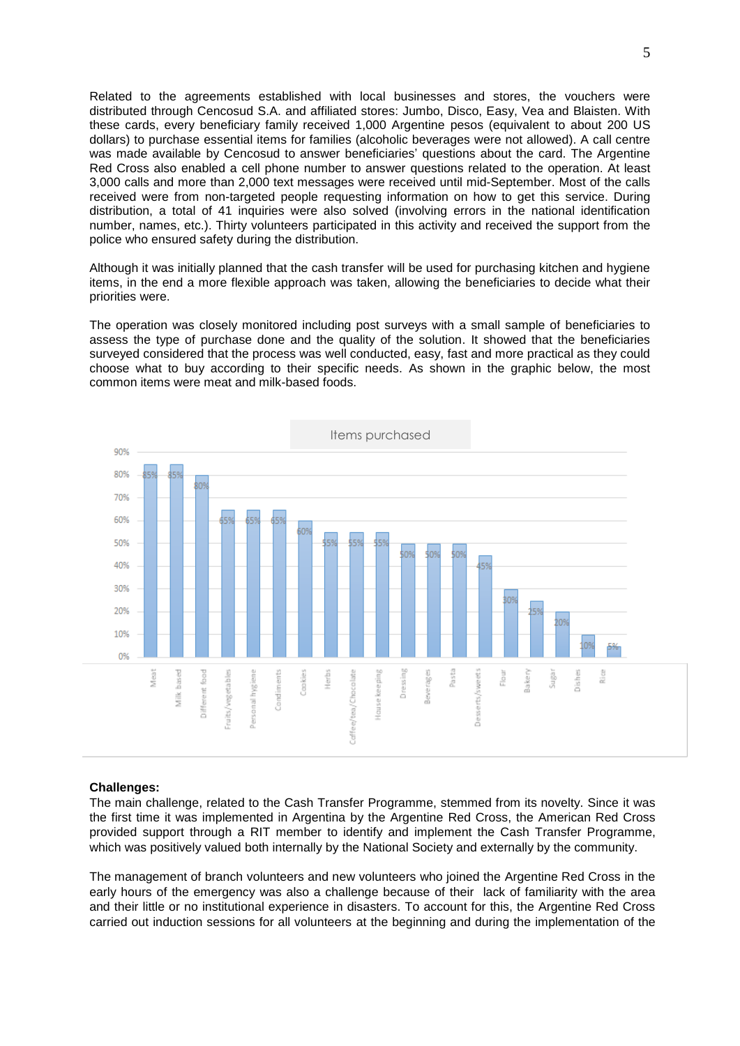Related to the agreements established with local businesses and stores, the vouchers were distributed through Cencosud S.A. and affiliated stores: Jumbo, Disco, Easy, Vea and Blaisten. With these cards, every beneficiary family received 1,000 Argentine pesos (equivalent to about 200 US dollars) to purchase essential items for families (alcoholic beverages were not allowed). A call centre was made available by Cencosud to answer beneficiaries' questions about the card. The Argentine Red Cross also enabled a cell phone number to answer questions related to the operation. At least 3,000 calls and more than 2,000 text messages were received until mid-September. Most of the calls received were from non-targeted people requesting information on how to get this service. During distribution, a total of 41 inquiries were also solved (involving errors in the national identification number, names, etc.). Thirty volunteers participated in this activity and received the support from the police who ensured safety during the distribution.

Although it was initially planned that the cash transfer will be used for purchasing kitchen and hygiene items, in the end a more flexible approach was taken, allowing the beneficiaries to decide what their priorities were.

The operation was closely monitored including post surveys with a small sample of beneficiaries to assess the type of purchase done and the quality of the solution. It showed that the beneficiaries surveyed considered that the process was well conducted, easy, fast and more practical as they could choose what to buy according to their specific needs. As shown in the graphic below, the most common items were meat and milk-based foods.



#### **Challenges:**

The main challenge, related to the Cash Transfer Programme, stemmed from its novelty. Since it was the first time it was implemented in Argentina by the Argentine Red Cross, the American Red Cross provided support through a RIT member to identify and implement the Cash Transfer Programme, which was positively valued both internally by the National Society and externally by the community.

The management of branch volunteers and new volunteers who joined the Argentine Red Cross in the early hours of the emergency was also a challenge because of their lack of familiarity with the area and their little or no institutional experience in disasters. To account for this, the Argentine Red Cross carried out induction sessions for all volunteers at the beginning and during the implementation of the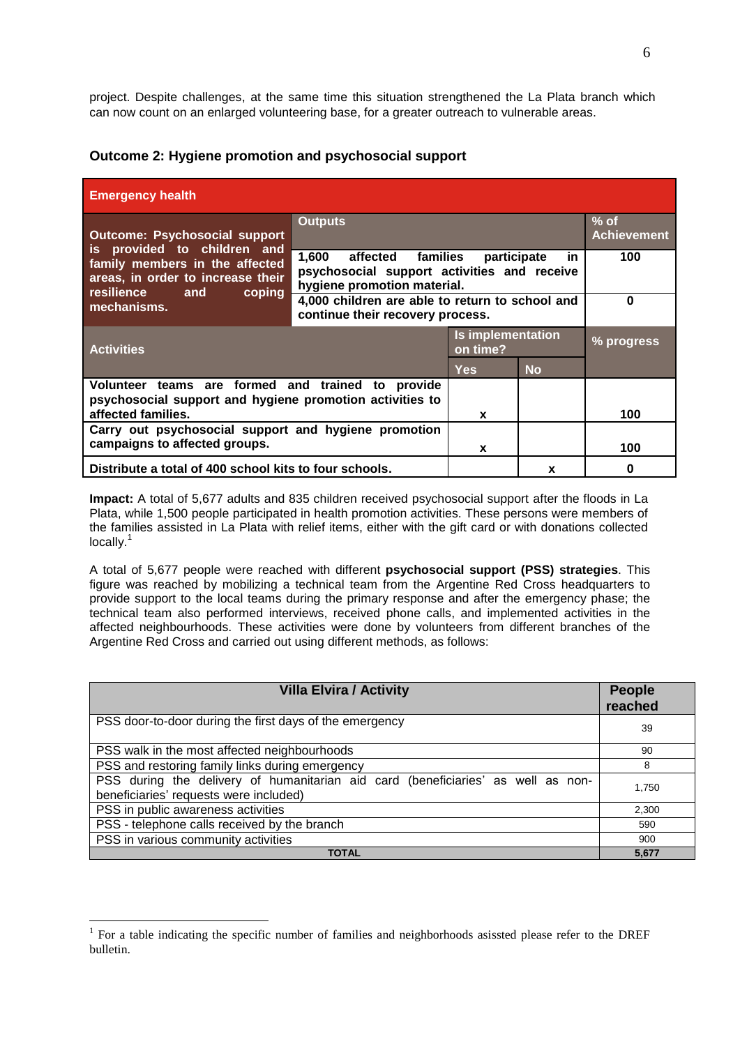project. Despite challenges, at the same time this situation strengthened the La Plata branch which can now count on an enlarged volunteering base, for a greater outreach to vulnerable areas.

| <b>Emergency health</b>                                                                                                           |                                                                                                                                          |                                      |            |  |  |  |  |
|-----------------------------------------------------------------------------------------------------------------------------------|------------------------------------------------------------------------------------------------------------------------------------------|--------------------------------------|------------|--|--|--|--|
| <b>Outcome: Psychosocial support</b>                                                                                              | <b>Outputs</b><br>$%$ of<br><b>Achievement</b>                                                                                           |                                      |            |  |  |  |  |
| is provided to children and<br>family members in the affected<br>areas, in order to increase their<br>resilience<br>coping<br>and | 1,600<br>affected<br>families<br>100<br>participate<br>in.<br>psychosocial support activities and receive<br>hygiene promotion material. |                                      |            |  |  |  |  |
| mechanisms.                                                                                                                       | 4,000 children are able to return to school and<br>continue their recovery process.                                                      | $\Omega$                             |            |  |  |  |  |
| <b>Activities</b>                                                                                                                 |                                                                                                                                          | <b>Is implementation</b><br>on time? | % progress |  |  |  |  |
|                                                                                                                                   |                                                                                                                                          | <b>Yes</b>                           | <b>No</b>  |  |  |  |  |
| Volunteer teams are formed and trained to provide<br>psychosocial support and hygiene promotion activities to                     |                                                                                                                                          |                                      |            |  |  |  |  |
| affected families.                                                                                                                | X                                                                                                                                        |                                      | 100        |  |  |  |  |
| Carry out psychosocial support and hygiene promotion<br>campaigns to affected groups.                                             | X                                                                                                                                        |                                      | 100        |  |  |  |  |
| Distribute a total of 400 school kits to four schools.                                                                            |                                                                                                                                          | X                                    | 0          |  |  |  |  |

#### **Outcome 2: Hygiene promotion and psychosocial support**

**Impact:** A total of 5,677 adults and 835 children received psychosocial support after the floods in La Plata, while 1,500 people participated in health promotion activities. These persons were members of the families assisted in La Plata with relief items, either with the gift card or with donations collected locally.<sup>1</sup>

A total of 5,677 people were reached with different **psychosocial support (PSS) strategies**. This figure was reached by mobilizing a technical team from the Argentine Red Cross headquarters to provide support to the local teams during the primary response and after the emergency phase; the technical team also performed interviews, received phone calls, and implemented activities in the affected neighbourhoods. These activities were done by volunteers from different branches of the Argentine Red Cross and carried out using different methods, as follows:

| <b>Villa Elvira / Activity</b>                                                                                             | <b>People</b><br>reached |
|----------------------------------------------------------------------------------------------------------------------------|--------------------------|
| PSS door-to-door during the first days of the emergency                                                                    | 39                       |
| PSS walk in the most affected neighbourhoods                                                                               | 90                       |
| PSS and restoring family links during emergency                                                                            | 8                        |
| PSS during the delivery of humanitarian aid card (beneficiaries' as well as non-<br>beneficiaries' requests were included) | 1.750                    |
| PSS in public awareness activities                                                                                         | 2,300                    |
| PSS - telephone calls received by the branch                                                                               | 590                      |
| PSS in various community activities                                                                                        | 900                      |
| <b>TOTAL</b>                                                                                                               | 5,677                    |

<u>.</u>

<sup>&</sup>lt;sup>1</sup> For a table indicating the specific number of families and neighborhoods asissted please refer to the DREF bulletin.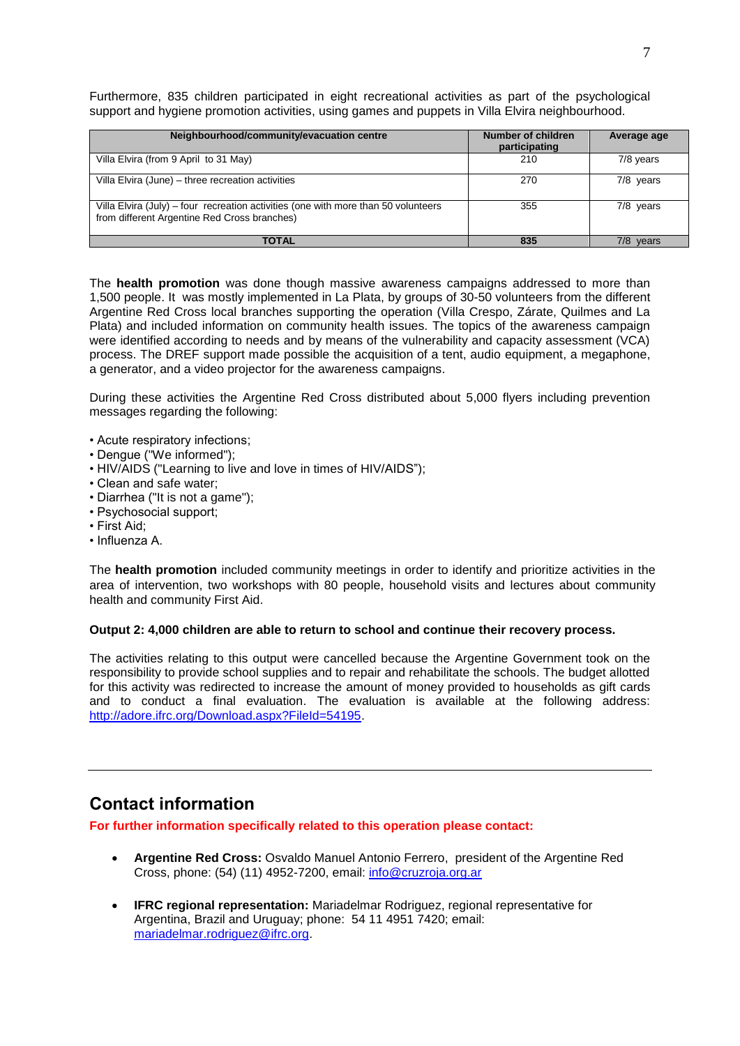<span id="page-6-0"></span>Furthermore, 835 children participated in eight recreational activities as part of the psychological support and hygiene promotion activities, using games and puppets in Villa Elvira neighbourhood.

| Neighbourhood/community/evacuation centre                                                                                          | <b>Number of children</b><br>participating | Average age  |
|------------------------------------------------------------------------------------------------------------------------------------|--------------------------------------------|--------------|
| Villa Elvira (from 9 April to 31 May)                                                                                              | 210                                        | 7/8 years    |
| Villa Elvira (June) - three recreation activities                                                                                  | 270                                        | $7/8$ years  |
| Villa Elvira (July) – four recreation activities (one with more than 50 volunteers<br>from different Argentine Red Cross branches) | 355                                        | 7/8 years    |
| <b>TOTAL</b>                                                                                                                       | 835                                        | 7/8<br>years |

The **health promotion** was done though massive awareness campaigns addressed to more than 1,500 people. It was mostly implemented in La Plata, by groups of 30-50 volunteers from the different Argentine Red Cross local branches supporting the operation (Villa Crespo, Zárate, Quilmes and La Plata) and included information on community health issues. The topics of the awareness campaign were identified according to needs and by means of the vulnerability and capacity assessment (VCA) process. The DREF support made possible the acquisition of a tent, audio equipment, a megaphone, a generator, and a video projector for the awareness campaigns.

During these activities the Argentine Red Cross distributed about 5,000 flyers including prevention messages regarding the following:

- Acute respiratory infections;
- Dengue ("We informed");
- HIV/AIDS ("Learning to live and love in times of HIV/AIDS");
- Clean and safe water;
- Diarrhea ("It is not a game");
- Psychosocial support;
- First Aid;
- Influenza A.

The **health promotion** included community meetings in order to identify and prioritize activities in the area of intervention, two workshops with 80 people, household visits and lectures about community health and community First Aid.

#### **Output 2: 4,000 children are able to return to school and continue their recovery process.**

The activities relating to this output were cancelled because the Argentine Government took on the responsibility to provide school supplies and to repair and rehabilitate the schools. The budget allotted for this activity was redirected to increase the amount of money provided to households as gift cards and to conduct a final evaluation. The evaluation is available at the following address: [http://adore.ifrc.org/Download.aspx?FileId=54195.](http://adore.ifrc.org/Download.aspx?FileId=54195)

# **Contact information**

**For further information specifically related to this operation please contact:**

- **Argentine Red Cross:** Osvaldo Manuel Antonio Ferrero, president of the Argentine Red Cross, phone: (54) (11) 4952-7200, email: [info@cruzroja.org.ar](mailto:info@cruzroja.org.ar)
- **IFRC regional representation:** Mariadelmar Rodriguez, regional representative for Argentina, Brazil and Uruguay; phone: 54 11 4951 7420; email: [mariadelmar.rodriguez@ifrc.org.](mailto:mariadelmar.rodriguez@ifrc.org)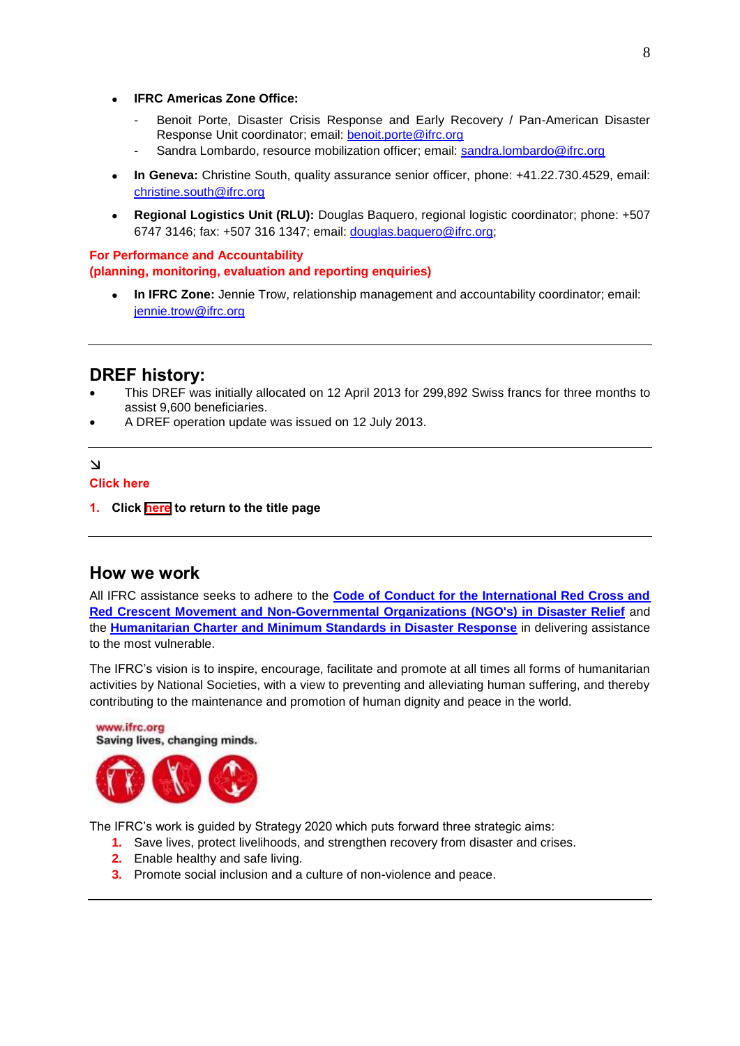- **IFRC Americas Zone Office:** 
	- Benoit Porte, Disaster Crisis Response and Early Recovery / Pan-American Disaster Response Unit coordinator; email: [benoit.porte@ifrc.org](mailto:benoit.porte@ifrc.org)
	- Sandra Lombardo, resource mobilization officer; email: [sandra.lombardo@ifrc.org](mailto:sandra.lombardo@ifrc.org)
- **In Geneva:** Christine South, quality assurance senior officer, phone: +41.22.730.4529, email: [christine.south@ifrc.org](mailto:christine.south@ifrc.org)
- **Regional Logistics Unit (RLU):** Douglas Baquero, regional logistic coordinator; phone: +507 6747 3146; fax: +507 316 1347; email: [douglas.baquero@ifrc.org;](mailto:douglas.baquero@ifrc.org)

#### **For Performance and Accountability (planning, monitoring, evaluation and reporting enquiries)**

 **In IFRC Zone:** Jennie Trow, relationship management and accountability coordinator; email: [jennie.trow@ifrc.org](mailto:jennie.trow@ifrc.org)

# **DREF history:**

- This DREF was initially allocated on 12 April 2013 for 299,892 Swiss francs for three months to assist 9,600 beneficiaries.
- A DREF operation update was issued on 12 July 2013.

#### $\Delta$

#### **Click here**

**1. Click [here](#page-0-0) to return to the title page**

#### **How we work**

www.ifrc.org

All IFRC assistance seeks to adhere to the **[Code of Conduct for the International Red Cross and](http://www.ifrc.org/publicat/code.asp)  [Red Crescent Movement and Non-Governmental](http://www.ifrc.org/publicat/code.asp) Organizations (NGO's) in Disaster Relief** and the **[Humanitarian Charter and Minimum Standards in Disaster Response](http://www.sphereproject.org/)** in delivering assistance to the most vulnerable.

The IFRC's vision is to inspire, encourage, facilitate and promote at all times all forms of humanitarian activities by National Societies, with a view to preventing and alleviating human suffering, and thereby contributing to the maintenance and promotion of human dignity and peace in the world.



The IFRC's work is guided by Strategy 2020 which puts forward three strategic aims:

- **1.** Save lives, protect livelihoods, and strengthen recovery from disaster and crises.
- **2.** Enable healthy and safe living.
- **3.** Promote social inclusion and a culture of non-violence and peace.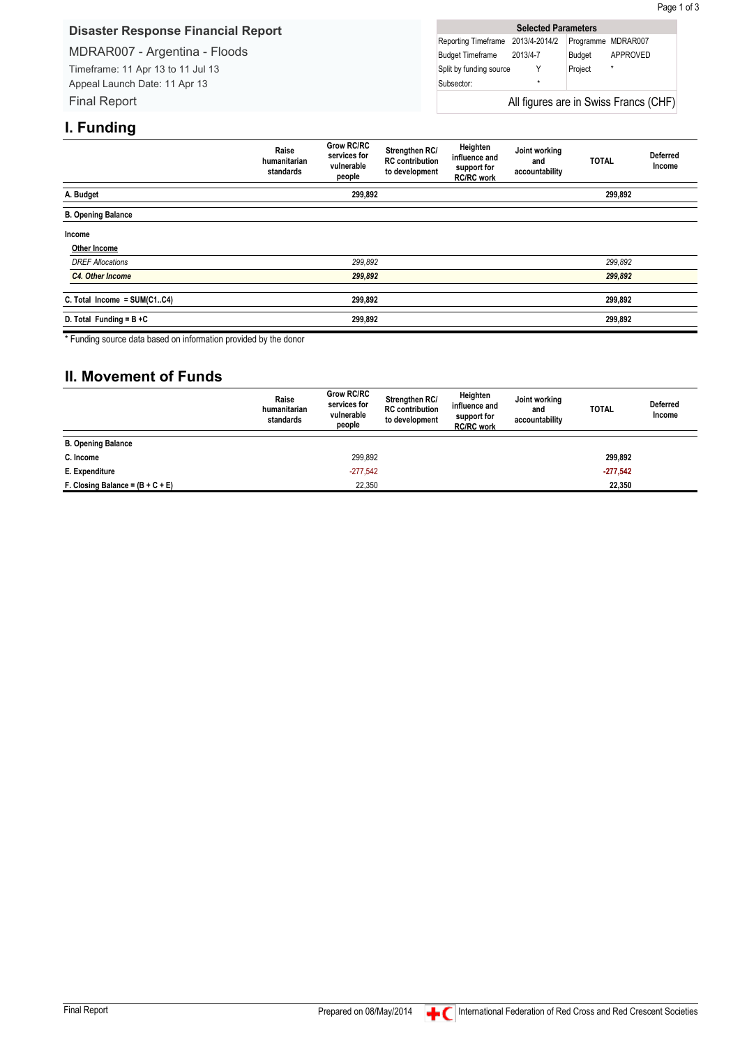#### <span id="page-8-0"></span>**Disaster Response Financial Report**

#### MDRAR007 - Argentina - Floods

Timeframe: 11 Apr 13 to 11 Jul 13 Appeal Launch Date: 11 Apr 13 Final Report

| <b>Selected Parameters</b>            |         |         |                    |  |  |  |  |  |
|---------------------------------------|---------|---------|--------------------|--|--|--|--|--|
| Reporting Timeframe 2013/4-2014/2     |         |         | Programme MDRAR007 |  |  |  |  |  |
| Budget Timeframe 2013/4-7             |         | Budget  | APPROVED           |  |  |  |  |  |
| Split by funding source               |         | Project | $\star$            |  |  |  |  |  |
| Subsector:                            | $\star$ |         |                    |  |  |  |  |  |
| All figures are in Swiss Francs (CHF) |         |         |                    |  |  |  |  |  |

Page 1 of 3

# **I. Funding**

|                                | Raise<br>humanitarian<br>standards | <b>Grow RC/RC</b><br>services for<br>vulnerable<br>people | Strengthen RC/<br><b>RC</b> contribution<br>to development | Heighten<br>influence and<br>support for<br><b>RC/RC</b> work | Joint working<br>and<br>accountability | <b>TOTAL</b> | <b>Deferred</b><br>Income |
|--------------------------------|------------------------------------|-----------------------------------------------------------|------------------------------------------------------------|---------------------------------------------------------------|----------------------------------------|--------------|---------------------------|
| A. Budget                      |                                    | 299,892                                                   |                                                            |                                                               |                                        | 299,892      |                           |
| <b>B. Opening Balance</b>      |                                    |                                                           |                                                            |                                                               |                                        |              |                           |
| Income                         |                                    |                                                           |                                                            |                                                               |                                        |              |                           |
| Other Income                   |                                    |                                                           |                                                            |                                                               |                                        |              |                           |
| <b>DREF Allocations</b>        |                                    | 299,892                                                   |                                                            |                                                               |                                        | 299,892      |                           |
| C4. Other Income               |                                    | 299,892                                                   |                                                            |                                                               |                                        | 299,892      |                           |
| C. Total Income = $SUM(C1.C4)$ |                                    | 299,892                                                   |                                                            |                                                               |                                        | 299,892      |                           |
| D. Total Funding = $B + C$     |                                    | 299,892                                                   |                                                            |                                                               |                                        | 299,892      |                           |

\* Funding source data based on information provided by the donor

# **II. Movement of Funds**

|                                    | Raise<br>humanitarian<br>standards | <b>Grow RC/RC</b><br>services for<br>vulnerable<br>people | Strengthen RC/<br><b>RC</b> contribution<br>to development | Heighten<br>influence and<br>support for<br><b>RC/RC</b> work | Joint working<br>and<br>accountability | <b>TOTAL</b> | <b>Deferred</b><br>Income |
|------------------------------------|------------------------------------|-----------------------------------------------------------|------------------------------------------------------------|---------------------------------------------------------------|----------------------------------------|--------------|---------------------------|
| <b>B. Opening Balance</b>          |                                    |                                                           |                                                            |                                                               |                                        |              |                           |
| C. Income                          |                                    | 299,892                                                   |                                                            |                                                               |                                        | 299,892      |                           |
| E. Expenditure                     |                                    | $-277.542$                                                |                                                            |                                                               |                                        | $-277,542$   |                           |
| F. Closing Balance = $(B + C + E)$ |                                    | 22,350                                                    |                                                            |                                                               |                                        | 22,350       |                           |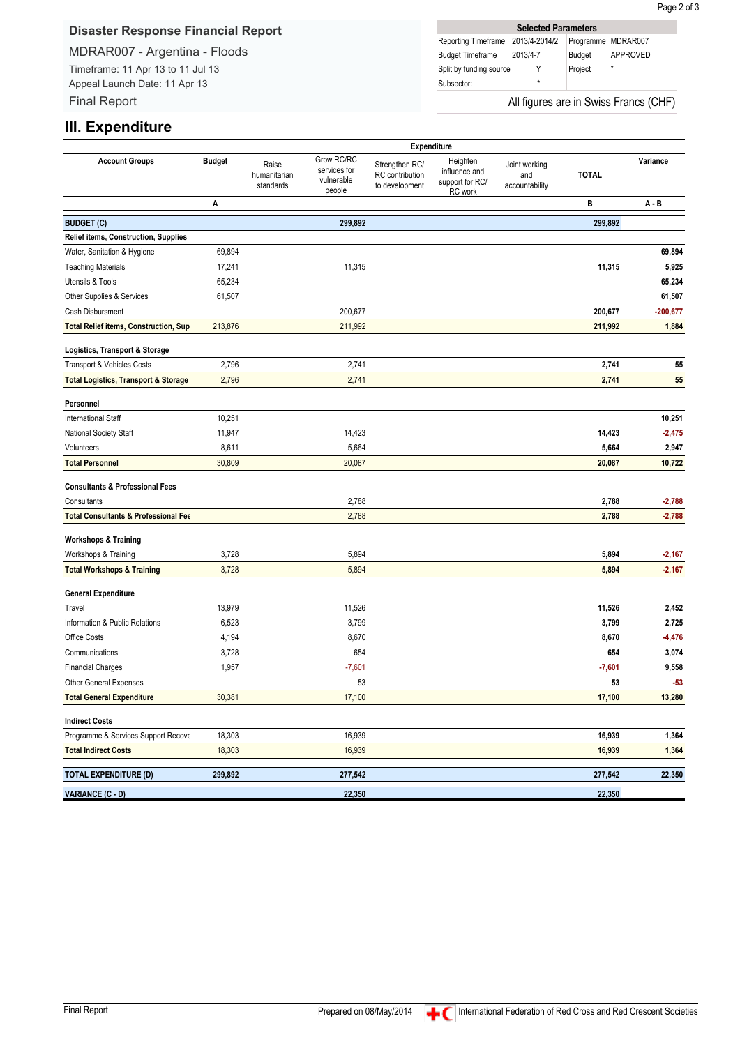#### **Disaster Response Financial Report**

#### MDRAR007 - Argentina - Floods

Timeframe: 11 Apr 13 to 11 Jul 13 Appeal Launch Date: 11 Apr 13 Final Report

|                                   | <b>Selected Parameters</b> |         |                                       |
|-----------------------------------|----------------------------|---------|---------------------------------------|
| Reporting Timeframe 2013/4-2014/2 |                            |         | Programme MDRAR007                    |
| Budget Timeframe 2013/4-7         |                            | Budget  | APPROVED                              |
| Split by funding source           |                            | Project | $\star$                               |
| Subsector:                        | ÷                          |         |                                       |
|                                   |                            |         | All figures are in Swiss Francs (CHF) |

## **III. Expenditure**

|                                                 |               |                                    |                                                    |                                                     | Expenditure                                             |                                        |              |            |
|-------------------------------------------------|---------------|------------------------------------|----------------------------------------------------|-----------------------------------------------------|---------------------------------------------------------|----------------------------------------|--------------|------------|
| <b>Account Groups</b>                           | <b>Budget</b> | Raise<br>humanitarian<br>standards | Grow RC/RC<br>services for<br>vulnerable<br>people | Strengthen RC/<br>RC contribution<br>to development | Heighten<br>influence and<br>support for RC/<br>RC work | Joint working<br>and<br>accountability | <b>TOTAL</b> | Variance   |
|                                                 | Α             |                                    |                                                    |                                                     |                                                         |                                        | в            | $A - B$    |
| <b>BUDGET (C)</b>                               |               |                                    | 299,892                                            |                                                     |                                                         |                                        | 299,892      |            |
| <b>Relief items, Construction, Supplies</b>     |               |                                    |                                                    |                                                     |                                                         |                                        |              |            |
| Water, Sanitation & Hygiene                     | 69,894        |                                    |                                                    |                                                     |                                                         |                                        |              | 69,894     |
| <b>Teaching Materials</b>                       | 17,241        |                                    | 11,315                                             |                                                     |                                                         |                                        | 11,315       | 5,925      |
| Utensils & Tools                                | 65,234        |                                    |                                                    |                                                     |                                                         |                                        |              | 65,234     |
| Other Supplies & Services                       | 61,507        |                                    |                                                    |                                                     |                                                         |                                        |              | 61,507     |
| Cash Disbursment                                |               |                                    | 200,677                                            |                                                     |                                                         |                                        | 200,677      | $-200,677$ |
| <b>Total Relief items, Construction, Sup</b>    | 213,876       |                                    | 211,992                                            |                                                     |                                                         |                                        | 211,992      | 1,884      |
| Logistics, Transport & Storage                  |               |                                    |                                                    |                                                     |                                                         |                                        |              |            |
| Transport & Vehicles Costs                      | 2,796         |                                    | 2,741                                              |                                                     |                                                         |                                        | 2,741        | 55         |
| <b>Total Logistics, Transport &amp; Storage</b> | 2,796         |                                    | 2,741                                              |                                                     |                                                         |                                        | 2,741        | 55         |
| Personnel                                       |               |                                    |                                                    |                                                     |                                                         |                                        |              |            |
| <b>International Staff</b>                      | 10,251        |                                    |                                                    |                                                     |                                                         |                                        |              | 10,251     |
| National Society Staff                          | 11,947        |                                    | 14,423                                             |                                                     |                                                         |                                        | 14,423       | $-2,475$   |
| Volunteers                                      | 8,611         |                                    | 5,664                                              |                                                     |                                                         |                                        | 5,664        | 2,947      |
| <b>Total Personnel</b>                          | 30,809        |                                    | 20,087                                             |                                                     |                                                         |                                        | 20,087       | 10,722     |
| <b>Consultants &amp; Professional Fees</b>      |               |                                    |                                                    |                                                     |                                                         |                                        |              |            |
| Consultants                                     |               |                                    | 2,788                                              |                                                     |                                                         |                                        | 2,788        | $-2,788$   |
| <b>Total Consultants &amp; Professional Fee</b> |               |                                    | 2,788                                              |                                                     |                                                         |                                        | 2,788        | $-2,788$   |
| <b>Workshops &amp; Training</b>                 |               |                                    |                                                    |                                                     |                                                         |                                        |              |            |
| Workshops & Training                            | 3,728         |                                    | 5,894                                              |                                                     |                                                         |                                        | 5,894        | $-2,167$   |
| <b>Total Workshops &amp; Training</b>           | 3,728         |                                    | 5,894                                              |                                                     |                                                         |                                        | 5,894        | $-2,167$   |
|                                                 |               |                                    |                                                    |                                                     |                                                         |                                        |              |            |
| <b>General Expenditure</b><br>Travel            | 13,979        |                                    | 11,526                                             |                                                     |                                                         |                                        | 11,526       | 2,452      |
| Information & Public Relations                  | 6,523         |                                    | 3,799                                              |                                                     |                                                         |                                        | 3,799        | 2,725      |
| Office Costs                                    | 4,194         |                                    | 8,670                                              |                                                     |                                                         |                                        | 8,670        | $-4,476$   |
| Communications                                  | 3,728         |                                    | 654                                                |                                                     |                                                         |                                        | 654          | 3,074      |
| <b>Financial Charges</b>                        | 1,957         |                                    | $-7,601$                                           |                                                     |                                                         |                                        | $-7,601$     | 9,558      |
| Other General Expenses                          |               |                                    | 53                                                 |                                                     |                                                         |                                        | 53           | $-53$      |
| <b>Total General Expenditure</b>                | 30,381        |                                    | 17,100                                             |                                                     |                                                         |                                        | 17,100       | 13,280     |
| <b>Indirect Costs</b>                           |               |                                    |                                                    |                                                     |                                                         |                                        |              |            |
| Programme & Services Support Recove             | 18,303        |                                    | 16,939                                             |                                                     |                                                         |                                        | 16,939       | 1,364      |
| <b>Total Indirect Costs</b>                     | 18,303        |                                    | 16,939                                             |                                                     |                                                         |                                        | 16,939       | 1,364      |
|                                                 |               |                                    |                                                    |                                                     |                                                         |                                        |              |            |
| <b>TOTAL EXPENDITURE (D)</b>                    | 299,892       |                                    | 277,542                                            |                                                     |                                                         |                                        | 277,542      | 22,350     |
| <b>VARIANCE (C - D)</b>                         |               |                                    | 22,350                                             |                                                     |                                                         |                                        | 22,350       |            |